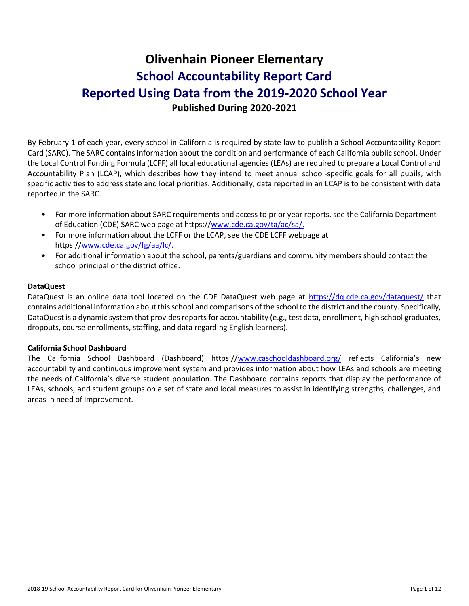# **Olivenhain Pioneer Elementary School Accountability Report Card Reported Using Data from the 2019-2020 School Year Published During 2020-2021**

By February 1 of each year, every school in California is required by state law to publish a School Accountability Report Card (SARC). The SARC contains information about the condition and performance of each California public school. Under the Local Control Funding Formula (LCFF) all local educational agencies (LEAs) are required to prepare a Local Control and Accountability Plan (LCAP), which describes how they intend to meet annual school-specific goals for all pupils, with specific activities to address state and local priorities. Additionally, data reported in an LCAP is to be consistent with data reported in the SARC.

- For more information about SARC requirements and access to prior year reports, see the California Department of Education (CDE) SARC web page at https:/[/www.cde.ca.gov/ta/ac/sa/.](https://www.cde.ca.gov/ta/ac/sa/)
- For more information about the LCFF or the LCAP, see the CDE LCFF webpage at https:/[/www.cde.ca.gov/fg/aa/lc/.](https://www.cde.ca.gov/fg/aa/lc/)
- For additional information about the school, parents/guardians and community members should contact the school principal or the district office.

### **DataQuest**

DataQuest is an online data tool located on the CDE DataQuest web page at<https://dq.cde.ca.gov/dataquest/> that contains additional information about this school and comparisons of the school to the district and the county. Specifically, DataQuest is a dynamic system that provides reports for accountability (e.g., test data, enrollment, high school graduates, dropouts, course enrollments, staffing, and data regarding English learners).

#### **California School Dashboard**

The California School Dashboard (Dashboard) https:/[/www.caschooldashboard.org/](https://www.caschooldashboard.org/) reflects California's new accountability and continuous improvement system and provides information about how LEAs and schools are meeting the needs of California's diverse student population. The Dashboard contains reports that display the performance of LEAs, schools, and student groups on a set of state and local measures to assist in identifying strengths, challenges, and areas in need of improvement.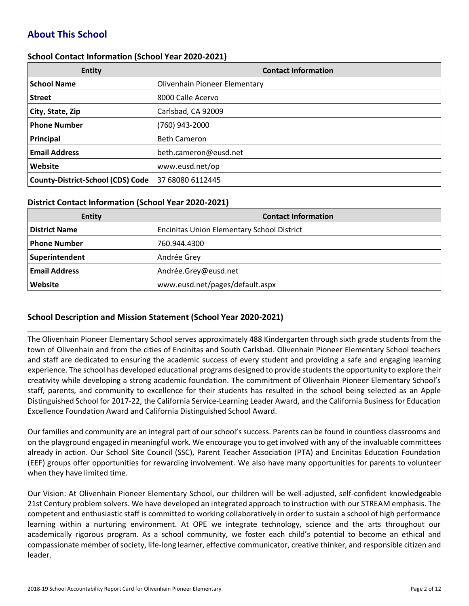## **About This School**

#### **School Contact Information (School Year 2020-2021)**

| <b>Entity</b>                            | <b>Contact Information</b>           |
|------------------------------------------|--------------------------------------|
| <b>School Name</b>                       | <b>Olivenhain Pioneer Elementary</b> |
| <b>Street</b>                            | 8000 Calle Acervo                    |
| City, State, Zip                         | Carlsbad, CA 92009                   |
| <b>Phone Number</b>                      | (760) 943-2000                       |
| Principal                                | <b>Beth Cameron</b>                  |
| <b>Email Address</b>                     | beth.cameron@eusd.net                |
| Website                                  | www.eusd.net/op                      |
| <b>County-District-School (CDS) Code</b> | 37 68080 6112445                     |

#### **District Contact Information (School Year 2020-2021)**

| <b>Entity</b>        | <b>Contact Information</b>                        |
|----------------------|---------------------------------------------------|
| <b>District Name</b> | <b>Encinitas Union Elementary School District</b> |
| Phone Number         | 760.944.4300                                      |
| Superintendent       | Andrée Grey                                       |
| <b>Email Address</b> | Andrée.Grey@eusd.net                              |
| Website              | www.eusd.net/pages/default.aspx                   |

#### **School Description and Mission Statement (School Year 2020-2021)**

The Olivenhain Pioneer Elementary School serves approximately 488 Kindergarten through sixth grade students from the town of Olivenhain and from the cities of Encinitas and South Carlsbad. Olivenhain Pioneer Elementary School teachers and staff are dedicated to ensuring the academic success of every student and providing a safe and engaging learning experience. The school has developed educational programs designed to provide students the opportunity to explore their creativity while developing a strong academic foundation. The commitment of Olivenhain Pioneer Elementary School's staff, parents, and community to excellence for their students has resulted in the school being selected as an Apple Distinguished School for 2017-22, the California Service-Learning Leader Award, and the California Business for Education Excellence Foundation Award and California Distinguished School Award.

Our families and community are an integral part of our school's success. Parents can be found in countless classrooms and on the playground engaged in meaningful work. We encourage you to get involved with any of the invaluable committees already in action. Our School Site Council (SSC), Parent Teacher Association (PTA) and Encinitas Education Foundation (EEF) groups offer opportunities for rewarding involvement. We also have many opportunities for parents to volunteer when they have limited time.

Our Vision: At Olivenhain Pioneer Elementary School, our children will be well-adjusted, self-confident knowledgeable 21st Century problem solvers. We have developed an integrated approach to instruction with our STREAM emphasis. The competent and enthusiastic staff is committed to working collaboratively in order to sustain a school of high performance learning within a nurturing environment. At OPE we integrate technology, science and the arts throughout our academically rigorous program. As a school community, we foster each child's potential to become an ethical and compassionate member of society, life-long learner, effective communicator, creative thinker, and responsible citizen and leader.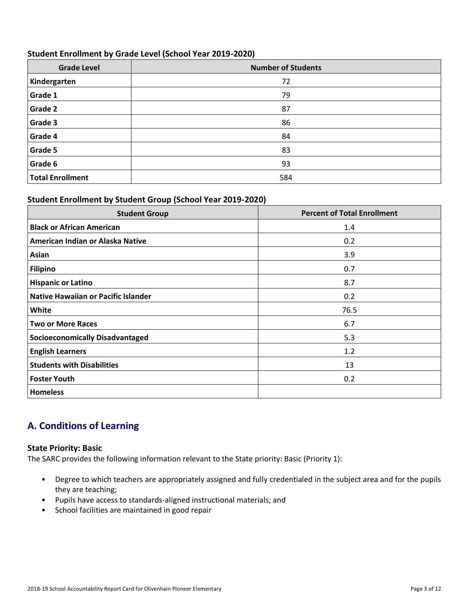### **Student Enrollment by Grade Level (School Year 2019-2020)**

| <b>Grade Level</b>      | <b>Number of Students</b> |
|-------------------------|---------------------------|
| Kindergarten            | 72                        |
| Grade 1                 | 79                        |
| <b>Grade 2</b>          | 87                        |
| Grade 3                 | 86                        |
| Grade 4                 | 84                        |
| <b>Grade 5</b>          | 83                        |
| Grade 6                 | 93                        |
| <b>Total Enrollment</b> | 584                       |

## **Student Enrollment by Student Group (School Year 2019-2020)**

| <b>Student Group</b>                   | <b>Percent of Total Enrollment</b> |
|----------------------------------------|------------------------------------|
| <b>Black or African American</b>       | 1.4                                |
| American Indian or Alaska Native       | 0.2                                |
| Asian                                  | 3.9                                |
| Filipino                               | 0.7                                |
| <b>Hispanic or Latino</b>              | 8.7                                |
| Native Hawaiian or Pacific Islander    | 0.2                                |
| White                                  | 76.5                               |
| <b>Two or More Races</b>               | 6.7                                |
| <b>Socioeconomically Disadvantaged</b> | 5.3                                |
| <b>English Learners</b>                | 1.2                                |
| <b>Students with Disabilities</b>      | 13                                 |
| <b>Foster Youth</b>                    | 0.2                                |
| <b>Homeless</b>                        |                                    |

## **A. Conditions of Learning**

#### **State Priority: Basic**

The SARC provides the following information relevant to the State priority: Basic (Priority 1):

- Degree to which teachers are appropriately assigned and fully credentialed in the subject area and for the pupils they are teaching;
- Pupils have access to standards-aligned instructional materials; and
- School facilities are maintained in good repair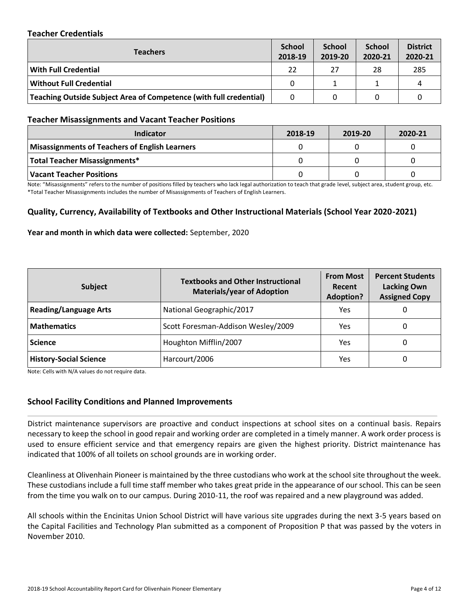### **Teacher Credentials**

| <b>Teachers</b>                                                    |    | <b>School</b><br>2019-20 | <b>School</b><br>2020-21 | <b>District</b><br>2020-21 |
|--------------------------------------------------------------------|----|--------------------------|--------------------------|----------------------------|
| <b>With Full Credential</b>                                        | 22 | 27                       | 28                       | 285                        |
| <b>Without Full Credential</b>                                     | 0  |                          |                          |                            |
| Teaching Outside Subject Area of Competence (with full credential) | 0  | 0                        |                          |                            |

#### **Teacher Misassignments and Vacant Teacher Positions**

| Indicator                                             | 2018-19 | 2019-20 | 2020-21 |
|-------------------------------------------------------|---------|---------|---------|
| <b>Misassignments of Teachers of English Learners</b> |         |         |         |
| Total Teacher Misassignments*                         |         |         |         |
| Vacant Teacher Positions                              |         |         |         |

Note: "Misassignments" refers to the number of positions filled by teachers who lack legal authorization to teach that grade level, subject area, student group, etc. \*Total Teacher Misassignments includes the number of Misassignments of Teachers of English Learners.

### **Quality, Currency, Availability of Textbooks and Other Instructional Materials (School Year 2020-2021)**

#### **Year and month in which data were collected:** September, 2020

| Subject                       | <b>Textbooks and Other Instructional</b><br><b>Materials/year of Adoption</b> | <b>From Most</b><br>Recent<br><b>Adoption?</b> | <b>Percent Students</b><br><b>Lacking Own</b><br><b>Assigned Copy</b> |  |
|-------------------------------|-------------------------------------------------------------------------------|------------------------------------------------|-----------------------------------------------------------------------|--|
| <b>Reading/Language Arts</b>  | National Geographic/2017                                                      | Yes                                            | 0                                                                     |  |
| <b>Mathematics</b>            | Scott Foresman-Addison Wesley/2009                                            | Yes                                            | 0                                                                     |  |
| <b>Science</b>                | Houghton Mifflin/2007                                                         | Yes                                            | 0                                                                     |  |
| <b>History-Social Science</b> | Harcourt/2006                                                                 | Yes                                            | 0                                                                     |  |

Note: Cells with N/A values do not require data.

#### **School Facility Conditions and Planned Improvements**

District maintenance supervisors are proactive and conduct inspections at school sites on a continual basis. Repairs necessary to keep the school in good repair and working order are completed in a timely manner. A work order process is used to ensure efficient service and that emergency repairs are given the highest priority. District maintenance has indicated that 100% of all toilets on school grounds are in working order.

Cleanliness at Olivenhain Pioneer is maintained by the three custodians who work at the school site throughout the week. These custodians include a full time staff member who takes great pride in the appearance of our school. This can be seen from the time you walk on to our campus. During 2010-11, the roof was repaired and a new playground was added.

All schools within the Encinitas Union School District will have various site upgrades during the next 3-5 years based on the Capital Facilities and Technology Plan submitted as a component of Proposition P that was passed by the voters in November 2010.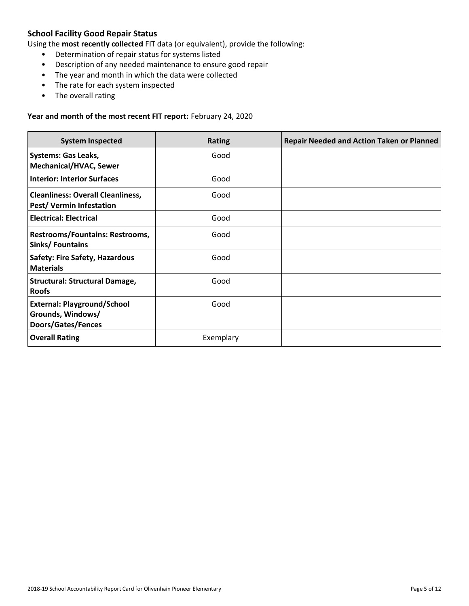## **School Facility Good Repair Status**

Using the **most recently collected** FIT data (or equivalent), provide the following:

- Determination of repair status for systems listed
- Description of any needed maintenance to ensure good repair
- The year and month in which the data were collected
- The rate for each system inspected
- The overall rating

#### **Year and month of the most recent FIT report:** February 24, 2020

| <b>System Inspected</b>                                                              | <b>Rating</b> | <b>Repair Needed and Action Taken or Planned</b> |
|--------------------------------------------------------------------------------------|---------------|--------------------------------------------------|
| <b>Systems: Gas Leaks,</b><br><b>Mechanical/HVAC, Sewer</b>                          | Good          |                                                  |
| <b>Interior: Interior Surfaces</b>                                                   | Good          |                                                  |
| <b>Cleanliness: Overall Cleanliness,</b><br>Pest/Vermin Infestation                  | Good          |                                                  |
| <b>Electrical: Electrical</b>                                                        | Good          |                                                  |
| <b>Restrooms/Fountains: Restrooms,</b><br>Sinks/Fountains                            | Good          |                                                  |
| <b>Safety: Fire Safety, Hazardous</b><br><b>Materials</b>                            | Good          |                                                  |
| <b>Structural: Structural Damage,</b><br><b>Roofs</b>                                | Good          |                                                  |
| <b>External: Playground/School</b><br>Grounds, Windows/<br><b>Doors/Gates/Fences</b> | Good          |                                                  |
| <b>Overall Rating</b>                                                                | Exemplary     |                                                  |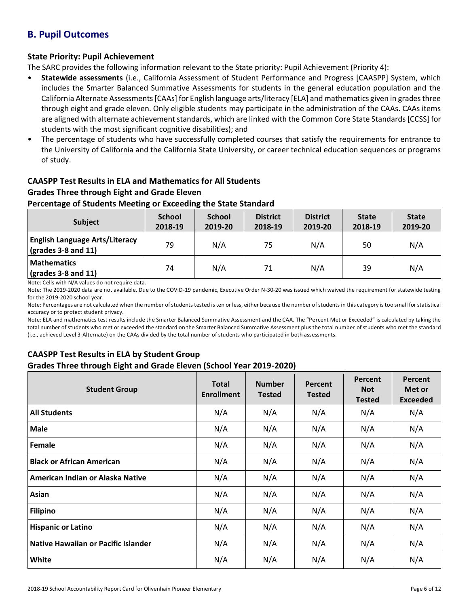## **B. Pupil Outcomes**

## **State Priority: Pupil Achievement**

The SARC provides the following information relevant to the State priority: Pupil Achievement (Priority 4):

- **Statewide assessments** (i.e., California Assessment of Student Performance and Progress [CAASPP] System, which includes the Smarter Balanced Summative Assessments for students in the general education population and the California Alternate Assessments [CAAs] for English language arts/literacy [ELA] and mathematics given in grades three through eight and grade eleven. Only eligible students may participate in the administration of the CAAs. CAAs items are aligned with alternate achievement standards, which are linked with the Common Core State Standards [CCSS] for students with the most significant cognitive disabilities); and
- The percentage of students who have successfully completed courses that satisfy the requirements for entrance to the University of California and the California State University, or career technical education sequences or programs of study.

## **CAASPP Test Results in ELA and Mathematics for All Students Grades Three through Eight and Grade Eleven**

## **Percentage of Students Meeting or Exceeding the State Standard**

| <b>Subject</b>                                                       | <b>School</b><br>2018-19 | <b>School</b><br>2019-20 | <b>District</b><br>2018-19 | <b>District</b><br>2019-20 | <b>State</b><br>2018-19 | <b>State</b><br>2019-20 |
|----------------------------------------------------------------------|--------------------------|--------------------------|----------------------------|----------------------------|-------------------------|-------------------------|
| <b>English Language Arts/Literacy</b><br>$\vert$ (grades 3-8 and 11) | 79                       | N/A                      | 75                         | N/A                        | 50                      | N/A                     |
| <b>Mathematics</b><br>$\sqrt{\frac{1}{2}}$ (grades 3-8 and 11)       | 74                       | N/A                      | 71                         | N/A                        | 39                      | N/A                     |

Note: Cells with N/A values do not require data.

Note: The 2019-2020 data are not available. Due to the COVID-19 pandemic, Executive Order N-30-20 was issued which waived the requirement for statewide testing for the 2019-2020 school year.

Note: Percentages are not calculated when the number of students tested is ten or less, either because the number of students in this category is too small for statistical accuracy or to protect student privacy.

Note: ELA and mathematics test results include the Smarter Balanced Summative Assessment and the CAA. The "Percent Met or Exceeded" is calculated by taking the total number of students who met or exceeded the standard on the Smarter Balanced Summative Assessment plus the total number of students who met the standard (i.e., achieved Level 3-Alternate) on the CAAs divided by the total number of students who participated in both assessments.

## **CAASPP Test Results in ELA by Student Group**

## **Grades Three through Eight and Grade Eleven (School Year 2019-2020)**

| <b>Student Group</b>                | <b>Total</b><br><b>Enrollment</b> | <b>Number</b><br><b>Tested</b> | Percent<br><b>Tested</b> | Percent<br><b>Not</b><br><b>Tested</b> | Percent<br>Met or<br><b>Exceeded</b> |
|-------------------------------------|-----------------------------------|--------------------------------|--------------------------|----------------------------------------|--------------------------------------|
| <b>All Students</b>                 | N/A                               | N/A                            | N/A                      | N/A                                    | N/A                                  |
| <b>Male</b>                         | N/A                               | N/A                            | N/A                      | N/A                                    | N/A                                  |
| Female                              | N/A                               | N/A                            | N/A                      | N/A                                    | N/A                                  |
| <b>Black or African American</b>    | N/A                               | N/A                            | N/A                      | N/A                                    | N/A                                  |
| American Indian or Alaska Native    | N/A                               | N/A                            | N/A                      | N/A                                    | N/A                                  |
| Asian                               | N/A                               | N/A                            | N/A                      | N/A                                    | N/A                                  |
| <b>Filipino</b>                     | N/A                               | N/A                            | N/A                      | N/A                                    | N/A                                  |
| <b>Hispanic or Latino</b>           | N/A                               | N/A                            | N/A                      | N/A                                    | N/A                                  |
| Native Hawaiian or Pacific Islander | N/A                               | N/A                            | N/A                      | N/A                                    | N/A                                  |
| White                               | N/A                               | N/A                            | N/A                      | N/A                                    | N/A                                  |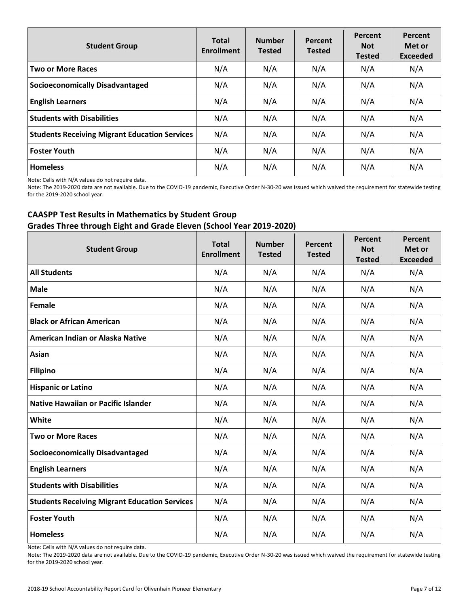| <b>Student Group</b>                                 | <b>Total</b><br><b>Enrollment</b> | <b>Number</b><br><b>Tested</b> | Percent<br><b>Tested</b> | Percent<br><b>Not</b><br><b>Tested</b> | Percent<br>Met or<br><b>Exceeded</b> |
|------------------------------------------------------|-----------------------------------|--------------------------------|--------------------------|----------------------------------------|--------------------------------------|
| <b>Two or More Races</b>                             | N/A                               | N/A                            | N/A                      | N/A                                    | N/A                                  |
| <b>Socioeconomically Disadvantaged</b>               | N/A                               | N/A                            | N/A                      | N/A                                    | N/A                                  |
| <b>English Learners</b>                              | N/A                               | N/A                            | N/A                      | N/A                                    | N/A                                  |
| <b>Students with Disabilities</b>                    | N/A                               | N/A                            | N/A                      | N/A                                    | N/A                                  |
| <b>Students Receiving Migrant Education Services</b> | N/A                               | N/A                            | N/A                      | N/A                                    | N/A                                  |
| <b>Foster Youth</b>                                  | N/A                               | N/A                            | N/A                      | N/A                                    | N/A                                  |
| <b>Homeless</b>                                      | N/A                               | N/A                            | N/A                      | N/A                                    | N/A                                  |

Note: Cells with N/A values do not require data.

Note: The 2019-2020 data are not available. Due to the COVID-19 pandemic, Executive Order N-30-20 was issued which waived the requirement for statewide testing for the 2019-2020 school year.

## **CAASPP Test Results in Mathematics by Student Group Grades Three through Eight and Grade Eleven (School Year 2019-2020)**

| <b>Student Group</b>                                 | <b>Total</b><br><b>Enrollment</b> | <b>Number</b><br><b>Tested</b> | Percent<br><b>Tested</b> | Percent<br><b>Not</b><br><b>Tested</b> | Percent<br>Met or<br><b>Exceeded</b> |
|------------------------------------------------------|-----------------------------------|--------------------------------|--------------------------|----------------------------------------|--------------------------------------|
| <b>All Students</b>                                  | N/A                               | N/A                            | N/A                      | N/A                                    | N/A                                  |
| <b>Male</b>                                          | N/A                               | N/A                            | N/A                      | N/A                                    | N/A                                  |
| Female                                               | N/A                               | N/A                            | N/A                      | N/A                                    | N/A                                  |
| <b>Black or African American</b>                     | N/A                               | N/A                            | N/A                      | N/A                                    | N/A                                  |
| American Indian or Alaska Native                     | N/A                               | N/A                            | N/A                      | N/A                                    | N/A                                  |
| <b>Asian</b>                                         | N/A                               | N/A                            | N/A                      | N/A                                    | N/A                                  |
| <b>Filipino</b>                                      | N/A                               | N/A                            | N/A                      | N/A                                    | N/A                                  |
| <b>Hispanic or Latino</b>                            | N/A                               | N/A                            | N/A                      | N/A                                    | N/A                                  |
| <b>Native Hawaiian or Pacific Islander</b>           | N/A                               | N/A                            | N/A                      | N/A                                    | N/A                                  |
| <b>White</b>                                         | N/A                               | N/A                            | N/A                      | N/A                                    | N/A                                  |
| <b>Two or More Races</b>                             | N/A                               | N/A                            | N/A                      | N/A                                    | N/A                                  |
| <b>Socioeconomically Disadvantaged</b>               | N/A                               | N/A                            | N/A                      | N/A                                    | N/A                                  |
| <b>English Learners</b>                              | N/A                               | N/A                            | N/A                      | N/A                                    | N/A                                  |
| <b>Students with Disabilities</b>                    | N/A                               | N/A                            | N/A                      | N/A                                    | N/A                                  |
| <b>Students Receiving Migrant Education Services</b> | N/A                               | N/A                            | N/A                      | N/A                                    | N/A                                  |
| <b>Foster Youth</b>                                  | N/A                               | N/A                            | N/A                      | N/A                                    | N/A                                  |
| <b>Homeless</b>                                      | N/A                               | N/A                            | N/A                      | N/A                                    | N/A                                  |

Note: Cells with N/A values do not require data.

Note: The 2019-2020 data are not available. Due to the COVID-19 pandemic, Executive Order N-30-20 was issued which waived the requirement for statewide testing for the 2019-2020 school year.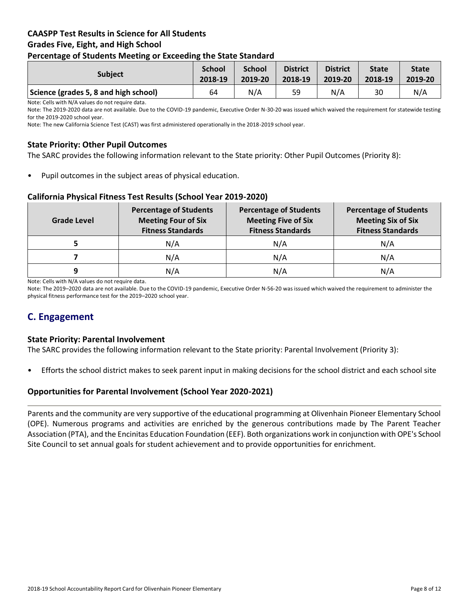## **CAASPP Test Results in Science for All Students Grades Five, Eight, and High School Percentage of Students Meeting or Exceeding the State Standard**

| <b>Subject</b>                        | <b>School</b><br>2018-19 | <b>School</b><br>2019-20 | <b>District</b><br>2018-19 | <b>District</b><br>2019-20 | <b>State</b><br>2018-19 | <b>State</b><br>2019-20 |
|---------------------------------------|--------------------------|--------------------------|----------------------------|----------------------------|-------------------------|-------------------------|
| Science (grades 5, 8 and high school) | 64                       | N/A                      | 59                         | N/A                        | 30                      | N/A                     |

Note: Cells with N/A values do not require data.

Note: The 2019-2020 data are not available. Due to the COVID-19 pandemic, Executive Order N-30-20 was issued which waived the requirement for statewide testing for the 2019-2020 school year.

Note: The new California Science Test (CAST) was first administered operationally in the 2018-2019 school year.

### **State Priority: Other Pupil Outcomes**

The SARC provides the following information relevant to the State priority: Other Pupil Outcomes (Priority 8):

Pupil outcomes in the subject areas of physical education.

#### **California Physical Fitness Test Results (School Year 2019-2020)**

| <b>Grade Level</b> | <b>Percentage of Students</b><br><b>Meeting Four of Six</b><br><b>Fitness Standards</b> |     | <b>Percentage of Students</b><br><b>Meeting Six of Six</b><br><b>Fitness Standards</b> |  |
|--------------------|-----------------------------------------------------------------------------------------|-----|----------------------------------------------------------------------------------------|--|
|                    | N/A                                                                                     | N/A | N/A                                                                                    |  |
|                    | N/A                                                                                     | N/A | N/A                                                                                    |  |
| 9                  | N/A                                                                                     | N/A | N/A                                                                                    |  |

Note: Cells with N/A values do not require data.

Note: The 2019–2020 data are not available. Due to the COVID-19 pandemic, Executive Order N-56-20 was issued which waived the requirement to administer the physical fitness performance test for the 2019–2020 school year.

## **C. Engagement**

#### **State Priority: Parental Involvement**

The SARC provides the following information relevant to the State priority: Parental Involvement (Priority 3):

• Efforts the school district makes to seek parent input in making decisions for the school district and each school site

#### **Opportunities for Parental Involvement (School Year 2020-2021)**

Parents and the community are very supportive of the educational programming at Olivenhain Pioneer Elementary School (OPE). Numerous programs and activities are enriched by the generous contributions made by The Parent Teacher Association (PTA), and the Encinitas Education Foundation (EEF). Both organizations work in conjunction with OPE's School Site Council to set annual goals for student achievement and to provide opportunities for enrichment.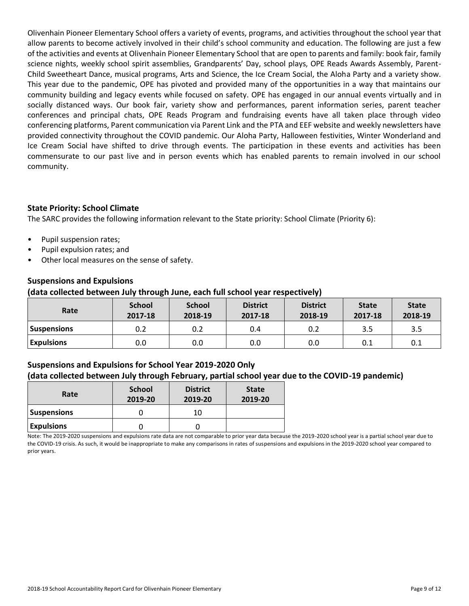Olivenhain Pioneer Elementary School offers a variety of events, programs, and activities throughout the school year that allow parents to become actively involved in their child's school community and education. The following are just a few of the activities and events at Olivenhain Pioneer Elementary School that are open to parents and family: book fair, family science nights, weekly school spirit assemblies, Grandparents' Day, school plays, OPE Reads Awards Assembly, Parent-Child Sweetheart Dance, musical programs, Arts and Science, the Ice Cream Social, the Aloha Party and a variety show. This year due to the pandemic, OPE has pivoted and provided many of the opportunities in a way that maintains our community building and legacy events while focused on safety. OPE has engaged in our annual events virtually and in socially distanced ways. Our book fair, variety show and performances, parent information series, parent teacher conferences and principal chats, OPE Reads Program and fundraising events have all taken place through video conferencing platforms, Parent communication via Parent Link and the PTA and EEF website and weekly newsletters have provided connectivity throughout the COVID pandemic. Our Aloha Party, Halloween festivities, Winter Wonderland and Ice Cream Social have shifted to drive through events. The participation in these events and activities has been commensurate to our past live and in person events which has enabled parents to remain involved in our school community.

## **State Priority: School Climate**

The SARC provides the following information relevant to the State priority: School Climate (Priority 6):

- Pupil suspension rates;
- Pupil expulsion rates; and
- Other local measures on the sense of safety.

## **Suspensions and Expulsions**

### **(data collected between July through June, each full school year respectively)**

| Rate              | <b>School</b><br>2017-18 | <b>School</b><br>2018-19 | <b>District</b><br>2017-18 | <b>District</b><br>2018-19 | <b>State</b><br>2017-18 | <b>State</b><br>2018-19 |
|-------------------|--------------------------|--------------------------|----------------------------|----------------------------|-------------------------|-------------------------|
| Suspensions       | 0.2                      | 0.2                      | 0.4                        | 0.2                        | 3.5                     | 3.5                     |
| <b>Expulsions</b> | 0.0                      | 0.0                      | 0.0                        | 0.0                        | 0.1                     | 0.1                     |

## **Suspensions and Expulsions for School Year 2019-2020 Only (data collected between July through February, partial school year due to the COVID-19 pandemic)**

| Rate               | <b>School</b><br>2019-20 | <b>District</b><br>2019-20 | <b>State</b><br>2019-20 |
|--------------------|--------------------------|----------------------------|-------------------------|
| <b>Suspensions</b> |                          | 10                         |                         |
| <b>Expulsions</b>  |                          |                            |                         |

Note: The 2019-2020 suspensions and expulsions rate data are not comparable to prior year data because the 2019-2020 school year is a partial school year due to the COVID-19 crisis. As such, it would be inappropriate to make any comparisons in rates of suspensions and expulsions in the 2019-2020 school year compared to prior years.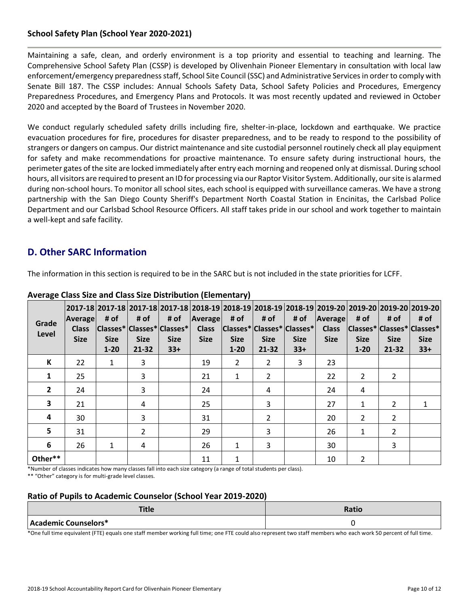## **School Safety Plan (School Year 2020-2021)**

Maintaining a safe, clean, and orderly environment is a top priority and essential to teaching and learning. The Comprehensive School Safety Plan (CSSP) is developed by Olivenhain Pioneer Elementary in consultation with local law enforcement/emergency preparedness staff, School Site Council (SSC) and Administrative Services in order to comply with Senate Bill 187. The CSSP includes: Annual Schools Safety Data, School Safety Policies and Procedures, Emergency Preparedness Procedures, and Emergency Plans and Protocols. It was most recently updated and reviewed in October 2020 and accepted by the Board of Trustees in November 2020.

We conduct regularly scheduled safety drills including fire, shelter-in-place, lockdown and earthquake. We practice evacuation procedures for fire, procedures for disaster preparedness, and to be ready to respond to the possibility of strangers or dangers on campus. Our district maintenance and site custodial personnel routinely check all play equipment for safety and make recommendations for proactive maintenance. To ensure safety during instructional hours, the perimeter gates of the site are locked immediately after entry each morning and reopened only at dismissal. During school hours, all visitors are required to present an ID for processing via our Raptor Visitor System. Additionally, our site is alarmed during non-school hours. To monitor all school sites, each school is equipped with surveillance cameras. We have a strong partnership with the San Diego County Sheriff's Department North Coastal Station in Encinitas, the Carlsbad Police Department and our Carlsbad School Resource Officers. All staff takes pride in our school and work together to maintain a well-kept and safe facility.

## **D. Other SARC Information**

The information in this section is required to be in the SARC but is not included in the state priorities for LCFF.

| Grade<br>Level | <b>Average</b><br><b>Class</b><br><b>Size</b> | # of<br> Classes* Classes* Classes* <br><b>Size</b><br>$1 - 20$ | # of<br><b>Size</b><br>$21 - 32$ | # of<br><b>Size</b><br>$33+$ | Average<br><b>Class</b><br><b>Size</b> | # of<br><b>Size</b><br>$1 - 20$ | # of<br>$ {\sf Classes}^* {\sf Classes}^* {\sf Classes}^* $<br><b>Size</b><br>$21 - 32$ | # of<br><b>Size</b><br>$33+$ | Average<br><b>Class</b><br><b>Size</b> | # of<br><b>Size</b><br>$1 - 20$ | # of<br><b>Size</b><br>21-32 | 2017-18  2017-18  2017-18  2017-18  2018-19  2018-19  2018-19  2018-19  2019-20  2019-20  2019-20  2019-20 <br># of<br> Classes* Classes* Classes* <br><b>Size</b><br>$33+$ |
|----------------|-----------------------------------------------|-----------------------------------------------------------------|----------------------------------|------------------------------|----------------------------------------|---------------------------------|-----------------------------------------------------------------------------------------|------------------------------|----------------------------------------|---------------------------------|------------------------------|-----------------------------------------------------------------------------------------------------------------------------------------------------------------------------|
| К              | 22                                            | $\mathbf{1}$                                                    | 3                                |                              | 19                                     | $\overline{2}$                  | 2                                                                                       | 3                            | 23                                     |                                 |                              |                                                                                                                                                                             |
| 1              | 25                                            |                                                                 | 3                                |                              | 21                                     | $\mathbf{1}$                    | $\overline{2}$                                                                          |                              | 22                                     | 2                               | $\overline{2}$               |                                                                                                                                                                             |
| $\overline{2}$ | 24                                            |                                                                 | 3                                |                              | 24                                     |                                 | 4                                                                                       |                              | 24                                     | 4                               |                              |                                                                                                                                                                             |
| 3              | 21                                            |                                                                 | 4                                |                              | 25                                     |                                 | 3                                                                                       |                              | 27                                     | 1                               | $\overline{2}$               |                                                                                                                                                                             |
| 4              | 30                                            |                                                                 | 3                                |                              | 31                                     |                                 | 2                                                                                       |                              | 20                                     | 2                               | 2                            |                                                                                                                                                                             |
| 5              | 31                                            |                                                                 | $\overline{2}$                   |                              | 29                                     |                                 | 3                                                                                       |                              | 26                                     | $\mathbf{1}$                    | $\overline{2}$               |                                                                                                                                                                             |
| 6              | 26                                            | $\mathbf{1}$                                                    | 4                                |                              | 26                                     | $\mathbf{1}$                    | 3                                                                                       |                              | 30                                     |                                 | 3                            |                                                                                                                                                                             |
| Other**        |                                               |                                                                 |                                  |                              | 11                                     | $\mathbf{1}$                    |                                                                                         |                              | 10                                     | $\overline{2}$                  |                              |                                                                                                                                                                             |

### **Average Class Size and Class Size Distribution (Elementary)**

\*Number of classes indicates how many classes fall into each size category (a range of total students per class).

\*\* "Other" category is for multi-grade level classes.

## **Ratio of Pupils to Academic Counselor (School Year 2019-2020)**

| <b>Title</b>         | Ratio |
|----------------------|-------|
| Academic Counselors* |       |

\*One full time equivalent (FTE) equals one staff member working full time; one FTE could also represent two staff members who each work 50 percent of full time.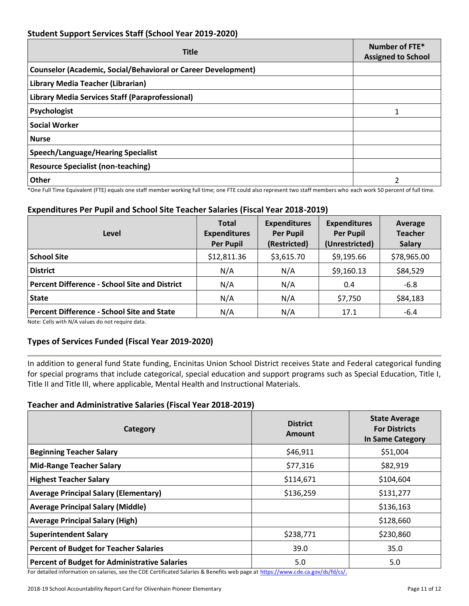## **Student Support Services Staff (School Year 2019-2020)**

| <b>Title</b>                                                         | Number of FTE*<br><b>Assigned to School</b> |  |
|----------------------------------------------------------------------|---------------------------------------------|--|
| <b>Counselor (Academic, Social/Behavioral or Career Development)</b> |                                             |  |
| Library Media Teacher (Librarian)                                    |                                             |  |
| Library Media Services Staff (Paraprofessional)                      |                                             |  |
| Psychologist                                                         |                                             |  |
| <b>Social Worker</b>                                                 |                                             |  |
| <b>Nurse</b>                                                         |                                             |  |
| <b>Speech/Language/Hearing Specialist</b>                            |                                             |  |
| <b>Resource Specialist (non-teaching)</b>                            |                                             |  |
| <b>Other</b>                                                         |                                             |  |

\*One Full Time Equivalent (FTE) equals one staff member working full time; one FTE could also represent two staff members who each work 50 percent of full time.

## **Expenditures Per Pupil and School Site Teacher Salaries (Fiscal Year 2018-2019)**

| Level                                         | <b>Total</b><br><b>Expenditures</b><br><b>Per Pupil</b> | <b>Expenditures</b><br><b>Per Pupil</b><br>(Restricted) | <b>Expenditures</b><br><b>Per Pupil</b><br>(Unrestricted) | Average<br><b>Teacher</b><br><b>Salary</b> |
|-----------------------------------------------|---------------------------------------------------------|---------------------------------------------------------|-----------------------------------------------------------|--------------------------------------------|
| <b>School Site</b>                            | \$12,811.36                                             | \$3,615.70                                              | \$9,195.66                                                | \$78,965.00                                |
| <b>District</b>                               | N/A                                                     | N/A                                                     | \$9,160.13                                                | \$84,529                                   |
| Percent Difference - School Site and District | N/A                                                     | N/A                                                     | 0.4                                                       | $-6.8$                                     |
| <b>State</b>                                  | N/A                                                     | N/A                                                     | \$7,750                                                   | \$84,183                                   |
| Percent Difference - School Site and State    | N/A                                                     | N/A                                                     | 17.1                                                      | $-6.4$                                     |

Note: Cells with N/A values do not require data.

## **Types of Services Funded (Fiscal Year 2019-2020)**

In addition to general fund State funding, Encinitas Union School District receives State and Federal categorical funding for special programs that include categorical, special education and support programs such as Special Education, Title I, Title II and Title III, where applicable, Mental Health and Instructional Materials.

#### **Teacher and Administrative Salaries (Fiscal Year 2018-2019)**

| Category                                             | <b>District</b><br>Amount | <b>State Average</b><br><b>For Districts</b><br>In Same Category |
|------------------------------------------------------|---------------------------|------------------------------------------------------------------|
| <b>Beginning Teacher Salary</b>                      | \$46,911                  | \$51,004                                                         |
| <b>Mid-Range Teacher Salary</b>                      | \$77,316                  | \$82,919                                                         |
| <b>Highest Teacher Salary</b>                        | \$114,671                 | \$104,604                                                        |
| <b>Average Principal Salary (Elementary)</b>         | \$136,259                 | \$131,277                                                        |
| <b>Average Principal Salary (Middle)</b>             |                           | \$136,163                                                        |
| <b>Average Principal Salary (High)</b>               |                           | \$128,660                                                        |
| <b>Superintendent Salary</b>                         | \$238,771                 | \$230,860                                                        |
| <b>Percent of Budget for Teacher Salaries</b>        | 39.0                      | 35.0                                                             |
| <b>Percent of Budget for Administrative Salaries</b> | 5.0                       | 5.0                                                              |

For detailed information on salaries, see the CDE Certificated Salaries & Benefits web page at [https://www.cde.ca.gov/ds/fd/cs/.](https://www.cde.ca.gov/ds/fd/cs/)